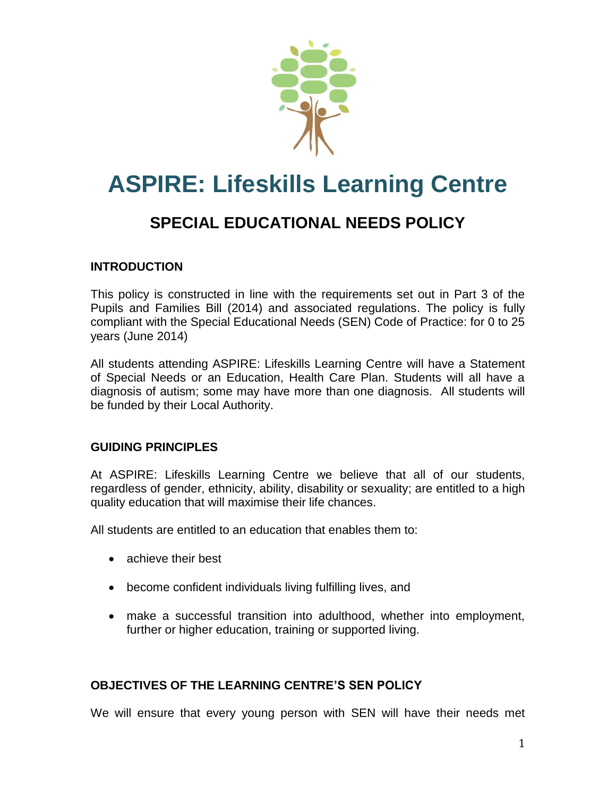

# **ASPIRE: Lifeskills Learning Centre**

# **SPECIAL EDUCATIONAL NEEDS POLICY**

# **INTRODUCTION**

This policy is constructed in line with the requirements set out in Part 3 of the Pupils and Families Bill (2014) and associated regulations. The policy is fully compliant with the Special Educational Needs (SEN) Code of Practice: for 0 to 25 years (June 2014)

All students attending ASPIRE: Lifeskills Learning Centre will have a Statement of Special Needs or an Education, Health Care Plan. Students will all have a diagnosis of autism; some may have more than one diagnosis. All students will be funded by their Local Authority.

#### **GUIDING PRINCIPLES**

At ASPIRE: Lifeskills Learning Centre we believe that all of our students, regardless of gender, ethnicity, ability, disability or sexuality; are entitled to a high quality education that will maximise their life chances.

All students are entitled to an education that enables them to:

- achieve their best
- become confident individuals living fulfilling lives, and
- make a successful transition into adulthood, whether into employment, further or higher education, training or supported living.

# **OBJECTIVES OF THE LEARNING CENTRE'S SEN POLICY**

We will ensure that every young person with SEN will have their needs met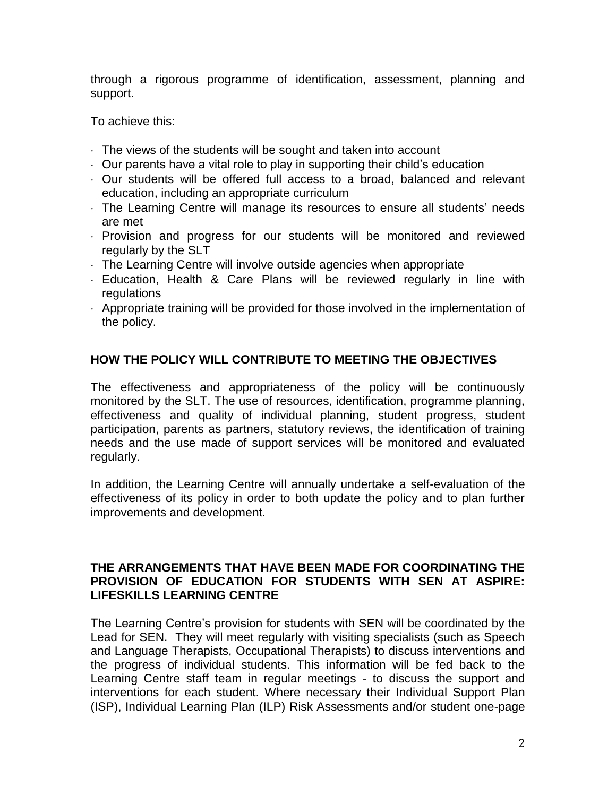through a rigorous programme of identification, assessment, planning and support.

To achieve this:

- The views of the students will be sought and taken into account
- $\cdot$  Our parents have a vital role to play in supporting their child's education
- Our students will be offered full access to a broad, balanced and relevant education, including an appropriate curriculum
- The Learning Centre will manage its resources to ensure all students' needs are met
- Provision and progress for our students will be monitored and reviewed regularly by the SLT
- The Learning Centre will involve outside agencies when appropriate
- Education, Health & Care Plans will be reviewed regularly in line with regulations
- Appropriate training will be provided for those involved in the implementation of the policy.

## **HOW THE POLICY WILL CONTRIBUTE TO MEETING THE OBJECTIVES**

The effectiveness and appropriateness of the policy will be continuously monitored by the SLT. The use of resources, identification, programme planning, effectiveness and quality of individual planning, student progress, student participation, parents as partners, statutory reviews, the identification of training needs and the use made of support services will be monitored and evaluated regularly.

In addition, the Learning Centre will annually undertake a self-evaluation of the effectiveness of its policy in order to both update the policy and to plan further improvements and development.

#### **THE ARRANGEMENTS THAT HAVE BEEN MADE FOR COORDINATING THE PROVISION OF EDUCATION FOR STUDENTS WITH SEN AT ASPIRE: LIFESKILLS LEARNING CENTRE**

The Learning Centre's provision for students with SEN will be coordinated by the Lead for SEN. They will meet regularly with visiting specialists (such as Speech and Language Therapists, Occupational Therapists) to discuss interventions and the progress of individual students. This information will be fed back to the Learning Centre staff team in regular meetings - to discuss the support and interventions for each student. Where necessary their Individual Support Plan (ISP), Individual Learning Plan (ILP) Risk Assessments and/or student one-page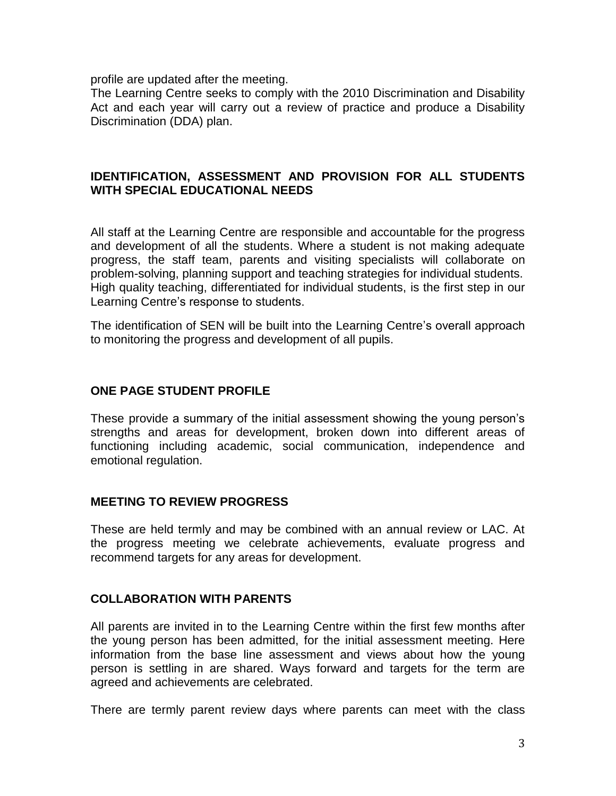profile are updated after the meeting.

The Learning Centre seeks to comply with the 2010 Discrimination and Disability Act and each year will carry out a review of practice and produce a Disability Discrimination (DDA) plan.

#### **IDENTIFICATION, ASSESSMENT AND PROVISION FOR ALL STUDENTS WITH SPECIAL EDUCATIONAL NEEDS**

All staff at the Learning Centre are responsible and accountable for the progress and development of all the students. Where a student is not making adequate progress, the staff team, parents and visiting specialists will collaborate on problem-solving, planning support and teaching strategies for individual students. High quality teaching, differentiated for individual students, is the first step in our Learning Centre's response to students.

The identification of SEN will be built into the Learning Centre's overall approach to monitoring the progress and development of all pupils.

#### **ONE PAGE STUDENT PROFILE**

These provide a summary of the initial assessment showing the young person's strengths and areas for development, broken down into different areas of functioning including academic, social communication, independence and emotional regulation.

#### **MEETING TO REVIEW PROGRESS**

These are held termly and may be combined with an annual review or LAC. At the progress meeting we celebrate achievements, evaluate progress and recommend targets for any areas for development.

#### **COLLABORATION WITH PARENTS**

All parents are invited in to the Learning Centre within the first few months after the young person has been admitted, for the initial assessment meeting. Here information from the base line assessment and views about how the young person is settling in are shared. Ways forward and targets for the term are agreed and achievements are celebrated.

There are termly parent review days where parents can meet with the class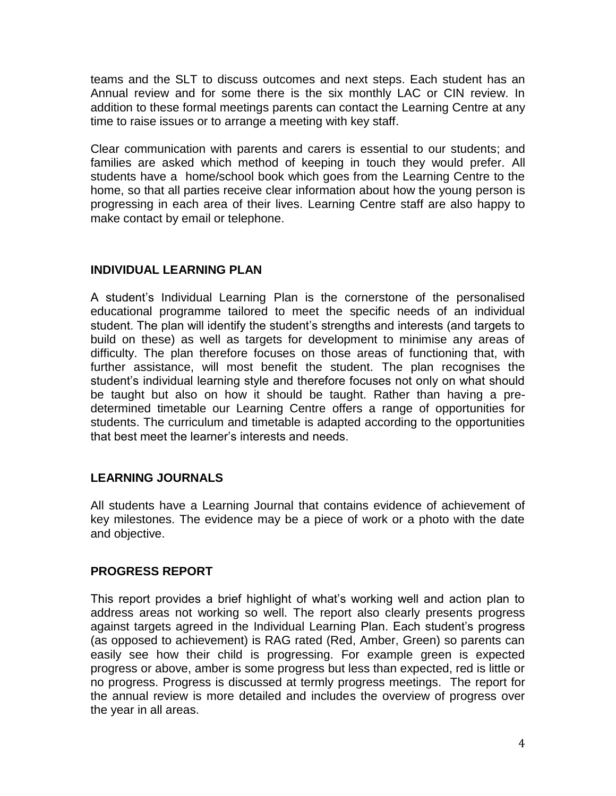teams and the SLT to discuss outcomes and next steps. Each student has an Annual review and for some there is the six monthly LAC or CIN review. In addition to these formal meetings parents can contact the Learning Centre at any time to raise issues or to arrange a meeting with key staff.

Clear communication with parents and carers is essential to our students; and families are asked which method of keeping in touch they would prefer. All students have a home/school book which goes from the Learning Centre to the home, so that all parties receive clear information about how the young person is progressing in each area of their lives. Learning Centre staff are also happy to make contact by email or telephone.

# **INDIVIDUAL LEARNING PLAN**

A student's Individual Learning Plan is the cornerstone of the personalised educational programme tailored to meet the specific needs of an individual student. The plan will identify the student's strengths and interests (and targets to build on these) as well as targets for development to minimise any areas of difficulty. The plan therefore focuses on those areas of functioning that, with further assistance, will most benefit the student. The plan recognises the student's individual learning style and therefore focuses not only on what should be taught but also on how it should be taught. Rather than having a predetermined timetable our Learning Centre offers a range of opportunities for students. The curriculum and timetable is adapted according to the opportunities that best meet the learner's interests and needs.

# **LEARNING JOURNALS**

All students have a Learning Journal that contains evidence of achievement of key milestones. The evidence may be a piece of work or a photo with the date and objective.

# **PROGRESS REPORT**

This report provides a brief highlight of what's working well and action plan to address areas not working so well. The report also clearly presents progress against targets agreed in the Individual Learning Plan. Each student's progress (as opposed to achievement) is RAG rated (Red, Amber, Green) so parents can easily see how their child is progressing. For example green is expected progress or above, amber is some progress but less than expected, red is little or no progress. Progress is discussed at termly progress meetings. The report for the annual review is more detailed and includes the overview of progress over the year in all areas.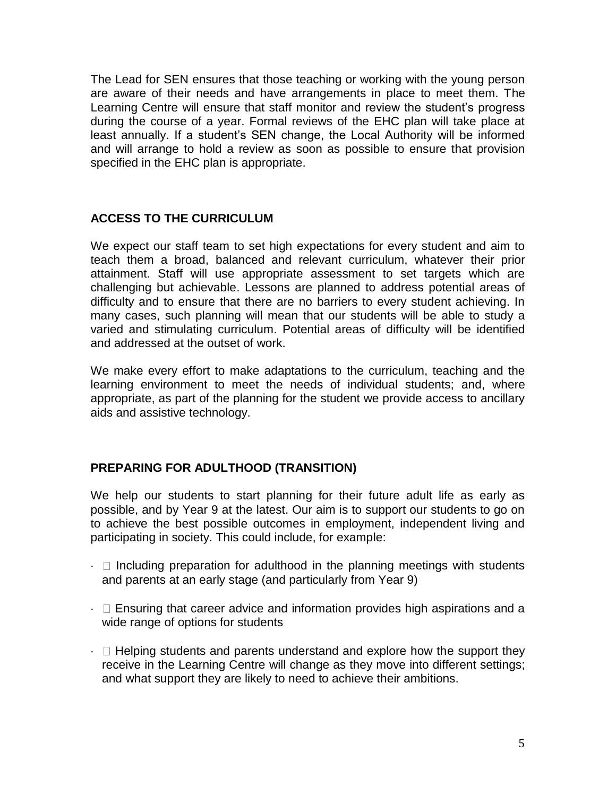The Lead for SEN ensures that those teaching or working with the young person are aware of their needs and have arrangements in place to meet them. The Learning Centre will ensure that staff monitor and review the student's progress during the course of a year. Formal reviews of the EHC plan will take place at least annually. If a student's SEN change, the Local Authority will be informed and will arrange to hold a review as soon as possible to ensure that provision specified in the EHC plan is appropriate.

## **ACCESS TO THE CURRICULUM**

We expect our staff team to set high expectations for every student and aim to teach them a broad, balanced and relevant curriculum, whatever their prior attainment. Staff will use appropriate assessment to set targets which are challenging but achievable. Lessons are planned to address potential areas of difficulty and to ensure that there are no barriers to every student achieving. In many cases, such planning will mean that our students will be able to study a varied and stimulating curriculum. Potential areas of difficulty will be identified and addressed at the outset of work.

We make every effort to make adaptations to the curriculum, teaching and the learning environment to meet the needs of individual students; and, where appropriate, as part of the planning for the student we provide access to ancillary aids and assistive technology.

# **PREPARING FOR ADULTHOOD (TRANSITION)**

We help our students to start planning for their future adult life as early as possible, and by Year 9 at the latest. Our aim is to support our students to go on to achieve the best possible outcomes in employment, independent living and participating in society. This could include, for example:

- $\cdot$   $\Box$  Including preparation for adulthood in the planning meetings with students and parents at an early stage (and particularly from Year 9)
- $\cdot$   $\Box$  Ensuring that career advice and information provides high aspirations and a wide range of options for students
- $\cdot$   $\Box$  Helping students and parents understand and explore how the support they receive in the Learning Centre will change as they move into different settings; and what support they are likely to need to achieve their ambitions.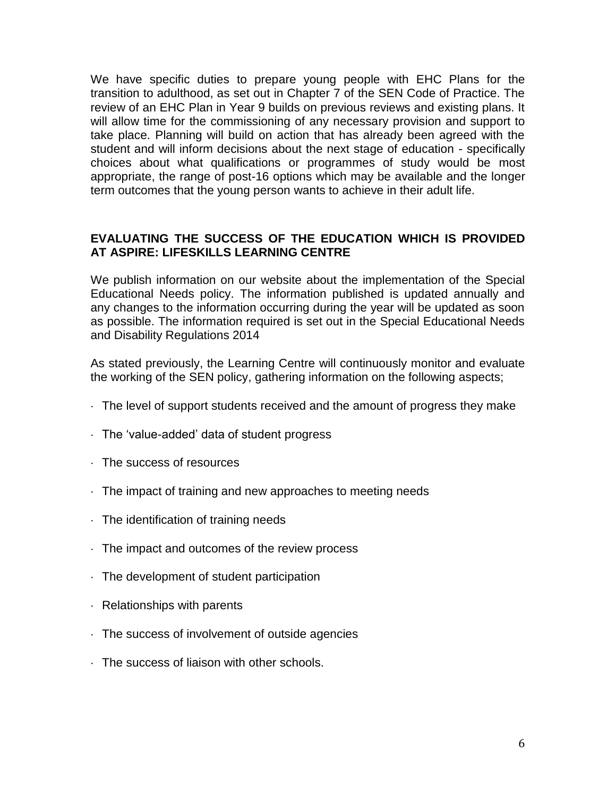We have specific duties to prepare young people with EHC Plans for the transition to adulthood, as set out in Chapter 7 of the SEN Code of Practice. The review of an EHC Plan in Year 9 builds on previous reviews and existing plans. It will allow time for the commissioning of any necessary provision and support to take place. Planning will build on action that has already been agreed with the student and will inform decisions about the next stage of education - specifically choices about what qualifications or programmes of study would be most appropriate, the range of post-16 options which may be available and the longer term outcomes that the young person wants to achieve in their adult life.

## **EVALUATING THE SUCCESS OF THE EDUCATION WHICH IS PROVIDED AT ASPIRE: LIFESKILLS LEARNING CENTRE**

We publish information on our website about the implementation of the Special Educational Needs policy. The information published is updated annually and any changes to the information occurring during the year will be updated as soon as possible. The information required is set out in the Special Educational Needs and Disability Regulations 2014

As stated previously, the Learning Centre will continuously monitor and evaluate the working of the SEN policy, gathering information on the following aspects;

- $\cdot$  The level of support students received and the amount of progress they make
- $\cdot$  The 'value-added' data of student progress
- The success of resources
- The impact of training and new approaches to meeting needs
- $\cdot$  The identification of training needs
- The impact and outcomes of the review process
- The development of student participation
- $\cdot$  Relationships with parents
- The success of involvement of outside agencies
- The success of liaison with other schools.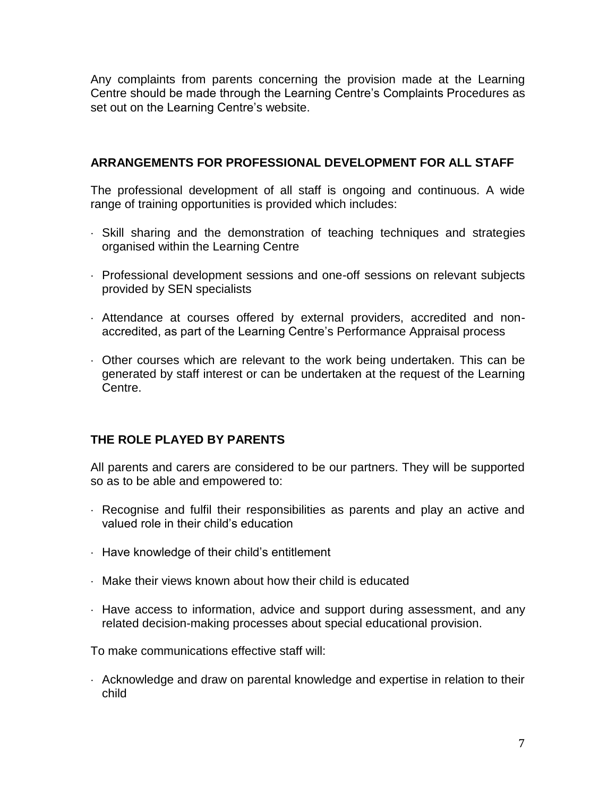Any complaints from parents concerning the provision made at the Learning Centre should be made through the Learning Centre's Complaints Procedures as set out on the Learning Centre's website.

# **ARRANGEMENTS FOR PROFESSIONAL DEVELOPMENT FOR ALL STAFF**

The professional development of all staff is ongoing and continuous. A wide range of training opportunities is provided which includes:

- Skill sharing and the demonstration of teaching techniques and strategies organised within the Learning Centre
- Professional development sessions and one-off sessions on relevant subjects provided by SEN specialists
- Attendance at courses offered by external providers, accredited and nonaccredited, as part of the Learning Centre's Performance Appraisal process
- Other courses which are relevant to the work being undertaken. This can be generated by staff interest or can be undertaken at the request of the Learning Centre.

# **THE ROLE PLAYED BY PARENTS**

All parents and carers are considered to be our partners. They will be supported so as to be able and empowered to:

- Recognise and fulfil their responsibilities as parents and play an active and valued role in their child's education
- $\cdot$  Have knowledge of their child's entitlement
- Make their views known about how their child is educated
- Have access to information, advice and support during assessment, and any related decision-making processes about special educational provision.

To make communications effective staff will:

 Acknowledge and draw on parental knowledge and expertise in relation to their child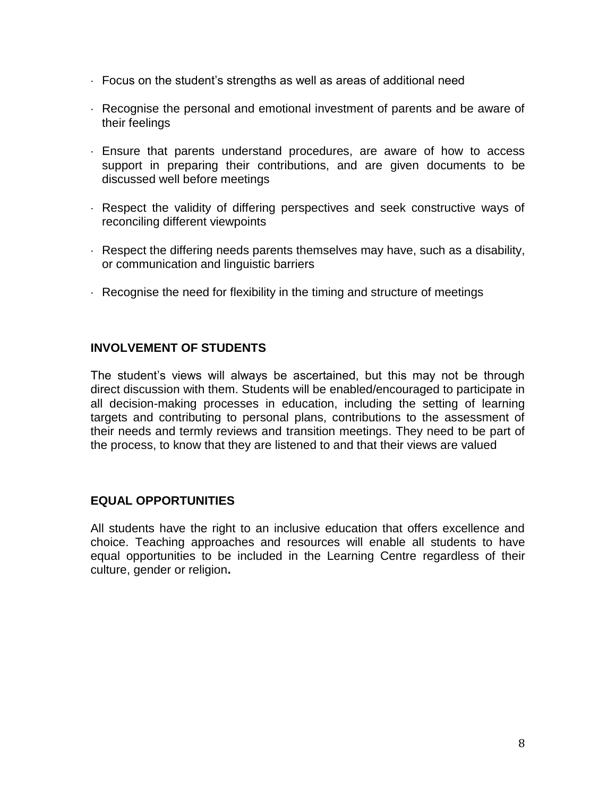- $\cdot$  Focus on the student's strengths as well as areas of additional need
- Recognise the personal and emotional investment of parents and be aware of their feelings
- Ensure that parents understand procedures, are aware of how to access support in preparing their contributions, and are given documents to be discussed well before meetings
- Respect the validity of differing perspectives and seek constructive ways of reconciling different viewpoints
- $\cdot$  Respect the differing needs parents themselves may have, such as a disability, or communication and linguistic barriers
- Recognise the need for flexibility in the timing and structure of meetings

## **INVOLVEMENT OF STUDENTS**

The student's views will always be ascertained, but this may not be through direct discussion with them. Students will be enabled/encouraged to participate in all decision-making processes in education, including the setting of learning targets and contributing to personal plans, contributions to the assessment of their needs and termly reviews and transition meetings. They need to be part of the process, to know that they are listened to and that their views are valued

#### **EQUAL OPPORTUNITIES**

All students have the right to an inclusive education that offers excellence and choice. Teaching approaches and resources will enable all students to have equal opportunities to be included in the Learning Centre regardless of their culture, gender or religion**.**